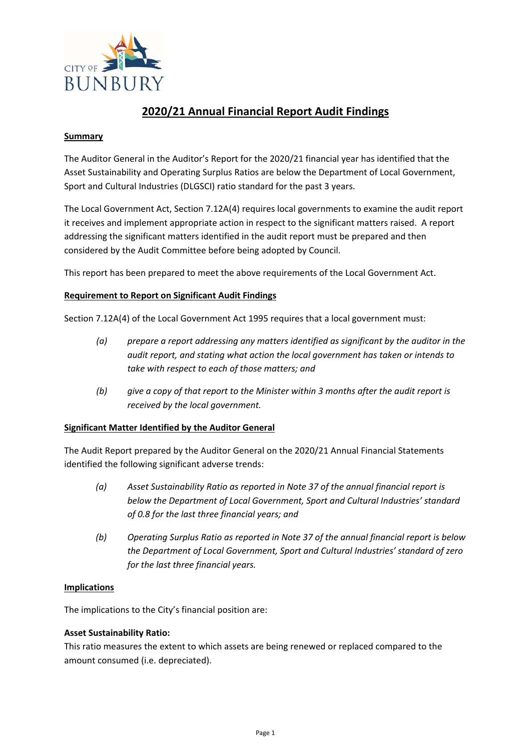

# **2020/21 Annual Financial Report Audit Findings**

#### **Summary**

The Auditor General in the Auditor's Report for the 2020/21 financial year has identified that the Asset Sustainability and Operating Surplus Ratios are below the Department of Local Government, Sport and Cultural Industries (DLGSCI) ratio standard for the past 3 years.

The Local Government Act, Section 7.12A(4) requires local governments to examine the audit report it receives and implement appropriate action in respect to the significant matters raised. A report addressing the significant matters identified in the audit report must be prepared and then considered by the Audit Committee before being adopted by Council.

This report has been prepared to meet the above requirements of the Local Government Act.

# **Requirement to Report on Significant Audit Findings**

Section 7.12A(4) of the Local Government Act 1995 requires that a local government must:

- *(a) prepare a report addressing any matters identified as significant by the auditor in the audit report, and stating what action the local government has taken or intends to take with respect to each of those matters; and*
- *(b) give a copy of that report to the Minister within 3 months after the audit report is received by the local government.*

#### **Significant Matter Identified by the Auditor General**

The Audit Report prepared by the Auditor General on the 2020/21 Annual Financial Statements identified the following significant adverse trends:

- *(a) Asset Sustainability Ratio as reported in Note 37 of the annual financial report is below the Department of Local Government, Sport and Cultural Industries' standard of 0.8 for the last three financial years; and*
- *(b) Operating Surplus Ratio as reported in Note 37 of the annual financial report is below the Department of Local Government, Sport and Cultural Industries' standard of zero for the last three financial years.*

#### **Implications**

The implications to the City's financial position are:

#### **Asset Sustainability Ratio:**

This ratio measures the extent to which assets are being renewed or replaced compared to the amount consumed (i.e. depreciated).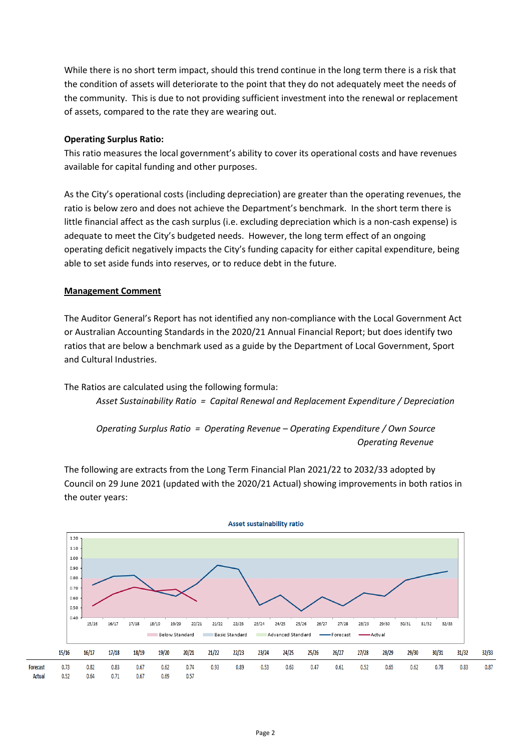While there is no short term impact, should this trend continue in the long term there is a risk that the condition of assets will deteriorate to the point that they do not adequately meet the needs of the community. This is due to not providing sufficient investment into the renewal or replacement of assets, compared to the rate they are wearing out.

# **Operating Surplus Ratio:**

This ratio measures the local government's ability to cover its operational costs and have revenues available for capital funding and other purposes.

As the City's operational costs (including depreciation) are greater than the operating revenues, the ratio is below zero and does not achieve the Department's benchmark. In the short term there is little financial affect as the cash surplus (i.e. excluding depreciation which is a non-cash expense) is adequate to meet the City's budgeted needs. However, the long term effect of an ongoing operating deficit negatively impacts the City's funding capacity for either capital expenditure, being able to set aside funds into reserves, or to reduce debt in the future.

# **Management Comment**

The Auditor General's Report has not identified any non‐compliance with the Local Government Act or Australian Accounting Standards in the 2020/21 Annual Financial Report; but does identify two ratios that are below a benchmark used as a guide by the Department of Local Government, Sport and Cultural Industries.

The Ratios are calculated using the following formula:

*Asset Sustainability Ratio = Capital Renewal and Replacement Expenditure / Depreciation* 

*Operating Surplus Ratio = Operating Revenue – Operating Expenditure / Own Source Operating Revenue* 

The following are extracts from the Long Term Financial Plan 2021/22 to 2032/33 adopted by Council on 29 June 2021 (updated with the 2020/21 Actual) showing improvements in both ratios in the outer years:

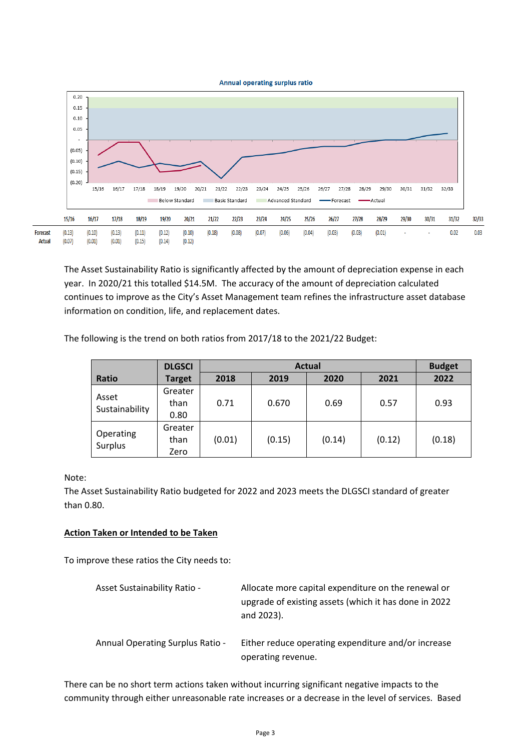

The Asset Sustainability Ratio is significantly affected by the amount of depreciation expense in each year. In 2020/21 this totalled \$14.5M. The accuracy of the amount of depreciation calculated continues to improve as the City's Asset Management team refines the infrastructure asset database information on condition, life, and replacement dates.

The following is the trend on both ratios from 2017/18 to the 2021/22 Budget:

|                         | <b>DLGSCI</b> | <b>Actual</b> |        |        |        | <b>Budget</b> |
|-------------------------|---------------|---------------|--------|--------|--------|---------------|
| Ratio                   | <b>Target</b> | 2018          | 2019   | 2020   | 2021   | 2022          |
| Asset<br>Sustainability | Greater       |               |        |        |        |               |
|                         | than          | 0.71          | 0.670  | 0.69   | 0.57   | 0.93          |
|                         | 0.80          |               |        |        |        |               |
| Operating<br>Surplus    | Greater       |               |        |        |        |               |
|                         | than          | (0.01)        | (0.15) | (0.14) | (0.12) | (0.18)        |
|                         | Zero          |               |        |        |        |               |

Note:

The Asset Sustainability Ratio budgeted for 2022 and 2023 meets the DLGSCI standard of greater than 0.80.

# **Action Taken or Intended to be Taken**

To improve these ratios the City needs to:

| <b>Asset Sustainability Ratio -</b>     | Allocate more capital expenditure on the renewal or<br>upgrade of existing assets (which it has done in 2022<br>and 2023). |
|-----------------------------------------|----------------------------------------------------------------------------------------------------------------------------|
| <b>Annual Operating Surplus Ratio -</b> | Either reduce operating expenditure and/or increase<br>operating revenue.                                                  |

There can be no short term actions taken without incurring significant negative impacts to the community through either unreasonable rate increases or a decrease in the level of services. Based